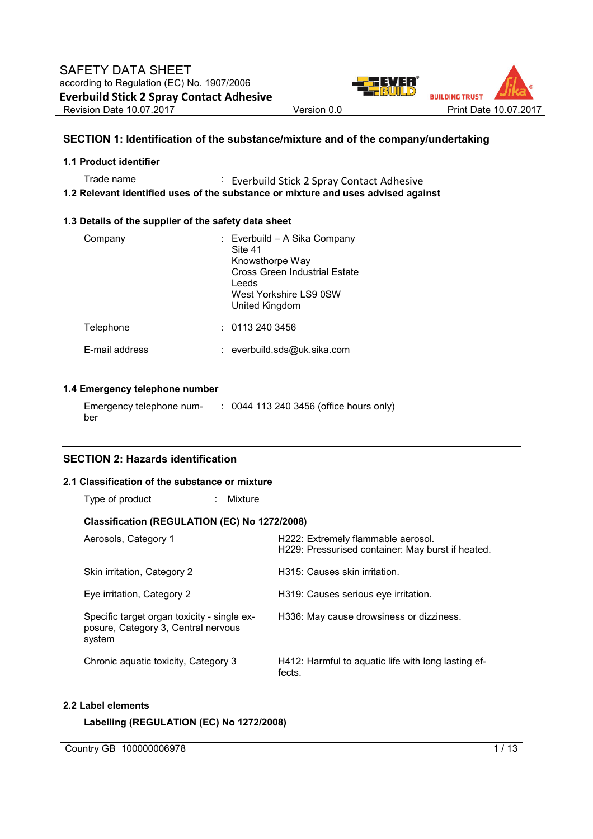

### **SECTION 1: Identification of the substance/mixture and of the company/undertaking**

#### **1.1 Product identifier**

Trade name : Everbuild Stick 2 Spray Contact Adhesive **1.2 Relevant identified uses of the substance or mixture and uses advised against** 

#### **1.3 Details of the supplier of the safety data sheet**

| Company        | : Everbuild - A Sika Company<br>Site 41<br>Knowsthorpe Way<br>Cross Green Industrial Estate<br>Leeds<br>West Yorkshire LS9 0SW<br>United Kingdom |
|----------------|--------------------------------------------------------------------------------------------------------------------------------------------------|
| Telephone      | : 01132403456                                                                                                                                    |
| E-mail address | : everbuild.sds@uk.sika.com                                                                                                                      |

### **1.4 Emergency telephone number**

| Emergency telephone num- | : 0044 113 240 3456 (office hours only) |
|--------------------------|-----------------------------------------|
| ber                      |                                         |

### **SECTION 2: Hazards identification**

#### **2.1 Classification of the substance or mixture**

| Type of product |  | Mixture |
|-----------------|--|---------|
|-----------------|--|---------|

### **Classification (REGULATION (EC) No 1272/2008)**

| Aerosols, Category 1                                                                         | H222: Extremely flammable aerosol.<br>H229: Pressurised container: May burst if heated. |
|----------------------------------------------------------------------------------------------|-----------------------------------------------------------------------------------------|
| Skin irritation, Category 2                                                                  | H315: Causes skin irritation.                                                           |
| Eye irritation, Category 2                                                                   | H319: Causes serious eye irritation.                                                    |
| Specific target organ toxicity - single ex-<br>posure, Category 3, Central nervous<br>system | H336: May cause drowsiness or dizziness.                                                |
| Chronic aquatic toxicity, Category 3                                                         | H412: Harmful to aquatic life with long lasting ef-<br>fects.                           |

### **2.2 Label elements**

**Labelling (REGULATION (EC) No 1272/2008)** 

Country GB 100000006978 1/13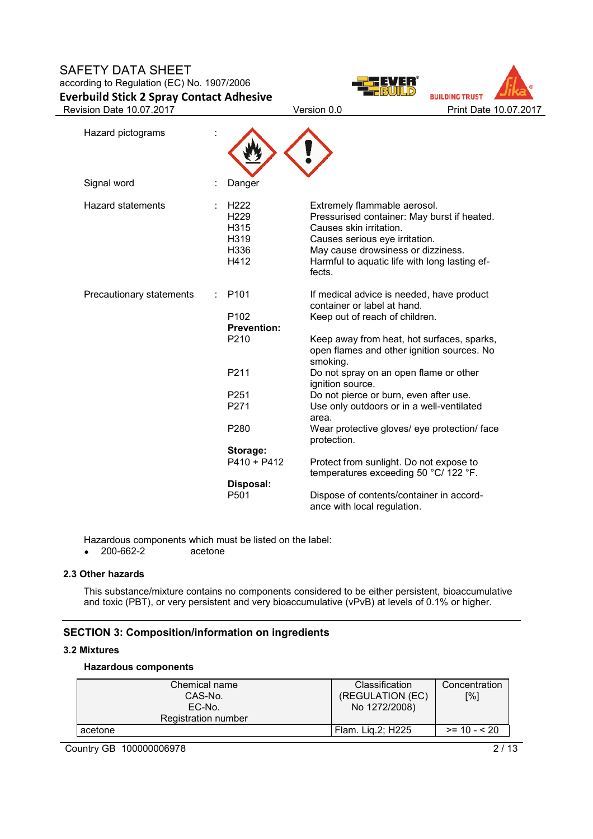



| Hazard pictograms        |                                                                      |                                                                                                                                                                                                                                           |
|--------------------------|----------------------------------------------------------------------|-------------------------------------------------------------------------------------------------------------------------------------------------------------------------------------------------------------------------------------------|
| Signal word              | Danger                                                               |                                                                                                                                                                                                                                           |
| <b>Hazard statements</b> | H <sub>222</sub><br>H <sub>229</sub><br>H315<br>H319<br>H336<br>H412 | Extremely flammable aerosol.<br>Pressurised container: May burst if heated.<br>Causes skin irritation.<br>Causes serious eye irritation.<br>May cause drowsiness or dizziness.<br>Harmful to aquatic life with long lasting ef-<br>fects. |
| Precautionary statements | P <sub>101</sub><br>P102<br><b>Prevention:</b><br>P210               | If medical advice is needed, have product<br>container or label at hand.<br>Keep out of reach of children.<br>Keep away from heat, hot surfaces, sparks,<br>open flames and other ignition sources. No<br>smoking.                        |
|                          | P211                                                                 | Do not spray on an open flame or other<br>ignition source.                                                                                                                                                                                |
|                          | P251<br>P271                                                         | Do not pierce or burn, even after use.<br>Use only outdoors or in a well-ventilated<br>area.                                                                                                                                              |
|                          | P <sub>280</sub>                                                     | Wear protective gloves/ eye protection/ face<br>protection.                                                                                                                                                                               |
|                          | Storage:<br>$P410 + P412$                                            | Protect from sunlight. Do not expose to<br>temperatures exceeding 50 °C/ 122 °F.                                                                                                                                                          |
|                          | Disposal:<br>P <sub>501</sub>                                        | Dispose of contents/container in accord-<br>ance with local regulation.                                                                                                                                                                   |

Hazardous components which must be listed on the label:<br>• 200-662-2 acetone

 $• 200-662-2$ 

### **2.3 Other hazards**

This substance/mixture contains no components considered to be either persistent, bioaccumulative and toxic (PBT), or very persistent and very bioaccumulative (vPvB) at levels of 0.1% or higher.

### **SECTION 3: Composition/information on ingredients**

### **3.2 Mixtures**

#### **Hazardous components**

| Chemical name<br>CAS-No.<br>EC-No.<br>Registration number | <b>Classification</b><br>(REGULATION (EC)<br>No 1272/2008) | Concentration<br>[%] |
|-----------------------------------------------------------|------------------------------------------------------------|----------------------|
| acetone                                                   | Flam. Lig.2; H225                                          | $>= 10 - 520$        |

Country GB 100000006978 2/13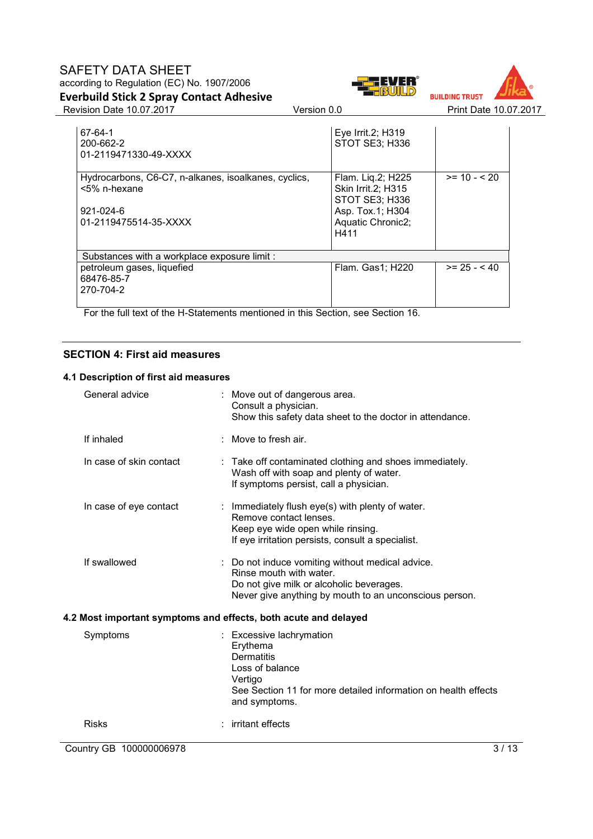



Revision Date 10.07.2017 Version 0.0 Print Date 10.07.2017

| 67-64-1<br>200-662-2<br>01-2119471330-49-XXXX                                                              | Eye Irrit.2; H319<br>STOT SE3; H336                                                                        |               |
|------------------------------------------------------------------------------------------------------------|------------------------------------------------------------------------------------------------------------|---------------|
| Hydrocarbons, C6-C7, n-alkanes, isoalkanes, cyclics,<br><5% n-hexane<br>921-024-6<br>01-2119475514-35-XXXX | Flam. Liq.2; H225<br>Skin Irrit.2; H315<br>STOT SE3; H336<br>Asp. Tox.1; H304<br>Aquatic Chronic2;<br>H411 | $>= 10 - 520$ |
| Substances with a workplace exposure limit :                                                               |                                                                                                            |               |
| petroleum gases, liquefied<br>68476-85-7<br>270-704-2                                                      | Flam. Gas1; H220                                                                                           | $>= 25 - 40$  |

For the full text of the H-Statements mentioned in this Section, see Section 16.

### **SECTION 4: First aid measures**

#### **4.1 Description of first aid measures**

| <b>Risks</b>            | irritant effects                                                                                                                                                                |
|-------------------------|---------------------------------------------------------------------------------------------------------------------------------------------------------------------------------|
| Symptoms                | : Excessive lachrymation<br>Erythema<br><b>Dermatitis</b><br>Loss of balance<br>Vertigo<br>See Section 11 for more detailed information on health effects<br>and symptoms.      |
|                         | 4.2 Most important symptoms and effects, both acute and delayed                                                                                                                 |
| If swallowed            | Do not induce vomiting without medical advice.<br>Rinse mouth with water.<br>Do not give milk or alcoholic beverages.<br>Never give anything by mouth to an unconscious person. |
| In case of eye contact  | : Immediately flush eye(s) with plenty of water.<br>Remove contact lenses.<br>Keep eye wide open while rinsing.<br>If eye irritation persists, consult a specialist.            |
| In case of skin contact | Take off contaminated clothing and shoes immediately.<br>Wash off with soap and plenty of water.<br>If symptoms persist, call a physician.                                      |
| If inhaled              | : Move to fresh air.                                                                                                                                                            |
| General advice          | : Move out of dangerous area.<br>Consult a physician.<br>Show this safety data sheet to the doctor in attendance.                                                               |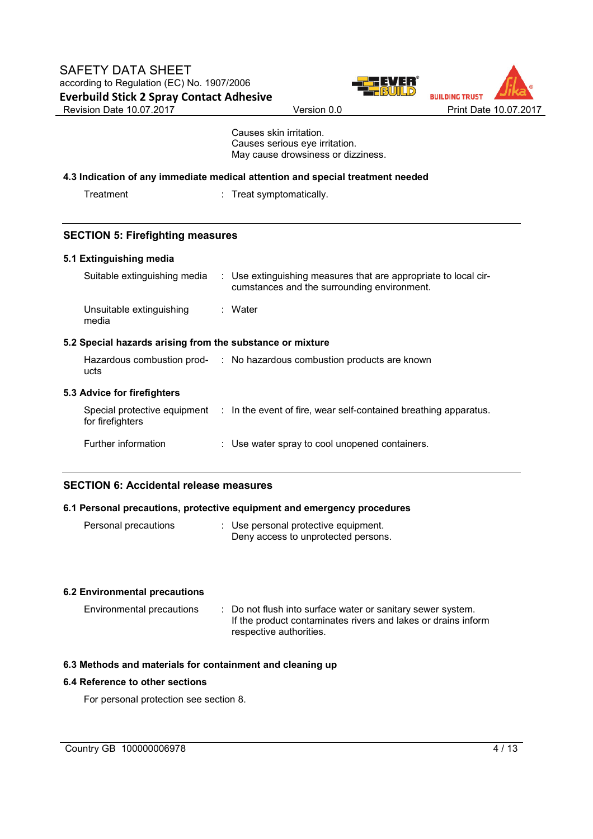



 Causes skin irritation. Causes serious eye irritation. May cause drowsiness or dizziness.

#### **4.3 Indication of any immediate medical attention and special treatment needed**

: Treat symptomatically.

### **SECTION 5: Firefighting measures**

#### **5.1 Extinguishing media**

| Suitable extinguishing media                              | : Use extinguishing measures that are appropriate to local cir-<br>cumstances and the surrounding environment. |
|-----------------------------------------------------------|----------------------------------------------------------------------------------------------------------------|
| Unsuitable extinguishing<br>media                         | : Water                                                                                                        |
| 5.2 Special hazards arising from the substance or mixture |                                                                                                                |
| ucts                                                      | Hazardous combustion prod- : No hazardous combustion products are known                                        |
| 5.3 Advice for firefighters                               |                                                                                                                |
| for firefighters                                          | Special protective equipment : In the event of fire, wear self-contained breathing apparatus.                  |
| Further information                                       | : Use water spray to cool unopened containers.                                                                 |

### **SECTION 6: Accidental release measures**

### **6.1 Personal precautions, protective equipment and emergency procedures**

| Personal precautions | : Use personal protective equipment. |
|----------------------|--------------------------------------|
|                      | Deny access to unprotected persons.  |

### **6.2 Environmental precautions**

Environmental precautions : Do not flush into surface water or sanitary sewer system. If the product contaminates rivers and lakes or drains inform respective authorities.

### **6.3 Methods and materials for containment and cleaning up**

### **6.4 Reference to other sections**

For personal protection see section 8.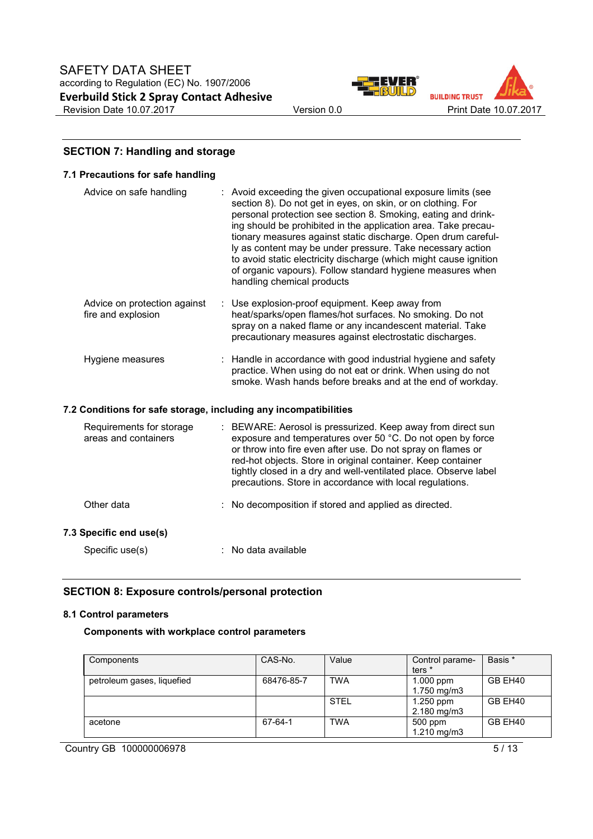



### **SECTION 7: Handling and storage**

#### **7.1 Precautions for safe handling**

| Advice on safe handling                                          | : Avoid exceeding the given occupational exposure limits (see<br>section 8). Do not get in eyes, on skin, or on clothing. For<br>personal protection see section 8. Smoking, eating and drink-<br>ing should be prohibited in the application area. Take precau-<br>tionary measures against static discharge. Open drum careful-<br>ly as content may be under pressure. Take necessary action<br>to avoid static electricity discharge (which might cause ignition<br>of organic vapours). Follow standard hygiene measures when<br>handling chemical products |
|------------------------------------------------------------------|------------------------------------------------------------------------------------------------------------------------------------------------------------------------------------------------------------------------------------------------------------------------------------------------------------------------------------------------------------------------------------------------------------------------------------------------------------------------------------------------------------------------------------------------------------------|
| Advice on protection against<br>fire and explosion               | : Use explosion-proof equipment. Keep away from<br>heat/sparks/open flames/hot surfaces. No smoking. Do not<br>spray on a naked flame or any incandescent material. Take<br>precautionary measures against electrostatic discharges.                                                                                                                                                                                                                                                                                                                             |
| Hygiene measures                                                 | : Handle in accordance with good industrial hygiene and safety<br>practice. When using do not eat or drink. When using do not<br>smoke. Wash hands before breaks and at the end of workday.                                                                                                                                                                                                                                                                                                                                                                      |
| 7.2 Conditions for safe storage, including any incompatibilities |                                                                                                                                                                                                                                                                                                                                                                                                                                                                                                                                                                  |
| Requirements for storage<br>areas and containers                 | : BEWARE: Aerosol is pressurized. Keep away from direct sun<br>exposure and temperatures over 50 °C. Do not open by force<br>or throw into fire even after use. Do not spray on flames or<br>red-hot objects. Store in original container. Keep container                                                                                                                                                                                                                                                                                                        |

| Other data | : No decomposition if stored and applied as directed. |
|------------|-------------------------------------------------------|

### **7.3 Specific end use(s)**

| Specific use(s) | : No data available |
|-----------------|---------------------|
|-----------------|---------------------|

### **SECTION 8: Exposure controls/personal protection**

### **8.1 Control parameters**

### **Components with workplace control parameters**

| Components                 | CAS-No.    | Value       | Control parame-<br>ters <sup>*</sup> | Basis * |
|----------------------------|------------|-------------|--------------------------------------|---------|
| petroleum gases, liquefied | 68476-85-7 | <b>TWA</b>  | $1.000$ ppm<br>1.750 mg/m3           | GB EH40 |
|                            |            | <b>STEL</b> | $1.250$ ppm<br>$2.180 \text{ mg/m}$  | GB EH40 |
| acetone                    | 67-64-1    | <b>TWA</b>  | 500 ppm<br>$1.210$ mg/m $3$          | GB EH40 |

tightly closed in a dry and well-ventilated place. Observe label precautions. Store in accordance with local regulations.

Country GB 100000006978 5/13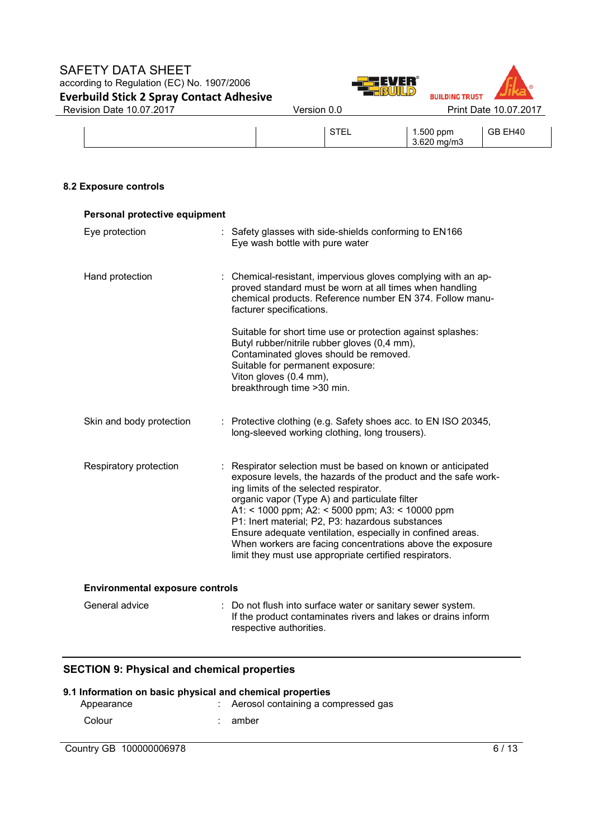### SAFETY DATA SHEET according to Regulation (EC) No. 1907/2006 **Everbuild Stick 2 Spray Contact Adhesive**  Revision Date 10.07.2017 <br>
Version 0.0 Print Date 10.07.2017





| $\sim$ $\sim$ $\sim$ | 1.500 ppm     | <b>EH40</b><br>GR |
|----------------------|---------------|-------------------|
| --                   | -620          |                   |
|                      | ma/m3<br>∪⊾∪. |                   |

### **8.2 Exposure controls**

| Personal protective equipment          |                                                                                                                                                                                                                                                                                                                                                                                                                                                                                                                     |  |  |  |
|----------------------------------------|---------------------------------------------------------------------------------------------------------------------------------------------------------------------------------------------------------------------------------------------------------------------------------------------------------------------------------------------------------------------------------------------------------------------------------------------------------------------------------------------------------------------|--|--|--|
| Eye protection                         | : Safety glasses with side-shields conforming to EN166<br>Eye wash bottle with pure water                                                                                                                                                                                                                                                                                                                                                                                                                           |  |  |  |
| Hand protection                        | : Chemical-resistant, impervious gloves complying with an ap-<br>proved standard must be worn at all times when handling<br>chemical products. Reference number EN 374. Follow manu-<br>facturer specifications.                                                                                                                                                                                                                                                                                                    |  |  |  |
|                                        | Suitable for short time use or protection against splashes:<br>Butyl rubber/nitrile rubber gloves (0,4 mm),<br>Contaminated gloves should be removed.<br>Suitable for permanent exposure:<br>Viton gloves (0.4 mm),<br>breakthrough time > 30 min.                                                                                                                                                                                                                                                                  |  |  |  |
| Skin and body protection               | : Protective clothing (e.g. Safety shoes acc. to EN ISO 20345,<br>long-sleeved working clothing, long trousers).                                                                                                                                                                                                                                                                                                                                                                                                    |  |  |  |
| Respiratory protection                 | Respirator selection must be based on known or anticipated<br>exposure levels, the hazards of the product and the safe work-<br>ing limits of the selected respirator.<br>organic vapor (Type A) and particulate filter<br>A1: < 1000 ppm; A2: < 5000 ppm; A3: < 10000 ppm<br>P1: Inert material; P2, P3: hazardous substances<br>Ensure adequate ventilation, especially in confined areas.<br>When workers are facing concentrations above the exposure<br>limit they must use appropriate certified respirators. |  |  |  |
| <b>Environmental exposure controls</b> |                                                                                                                                                                                                                                                                                                                                                                                                                                                                                                                     |  |  |  |
| General advice                         | : Do not flush into surface water or sanitary sewer system.<br>If the product contaminates rivers and lakes or drains inform<br>respective authorities.                                                                                                                                                                                                                                                                                                                                                             |  |  |  |

# **SECTION 9: Physical and chemical properties**

# **9.1 Information on basic physical and chemical properties**  : Aerosol containing a compressed gas Colour : amber

Country GB 100000006978 6/13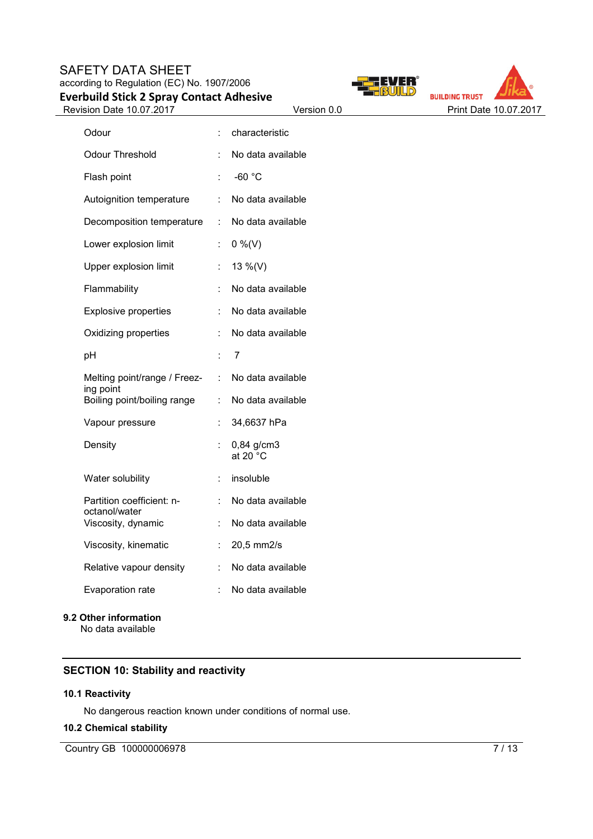



| Odour                                      |    | characteristic                   |
|--------------------------------------------|----|----------------------------------|
| <b>Odour Threshold</b>                     |    | No data available                |
| Flash point                                |    | $-60 °C$                         |
| Autoignition temperature                   |    | No data available                |
| Decomposition temperature                  | t. | No data available                |
| Lower explosion limit                      |    | $0\%$ (V)                        |
| Upper explosion limit                      |    | 13 %(V)                          |
| Flammability                               | t  | No data available                |
| <b>Explosive properties</b>                |    | No data available                |
| Oxidizing properties                       |    | No data available                |
| pH                                         |    | 7                                |
| Melting point/range / Freez-               | t. | No data available                |
| ing point<br>Boiling point/boiling range   | t  | No data available                |
| Vapour pressure                            |    | 34,6637 hPa                      |
| Density                                    |    | 0,84 g/cm3<br>at 20 $^{\circ}$ C |
| Water solubility                           | t. | insoluble                        |
| Partition coefficient: n-<br>octanol/water |    | No data available                |
| Viscosity, dynamic                         | t  | No data available                |
| Viscosity, kinematic                       | t  | 20,5 mm2/s                       |
| Relative vapour density                    | ÷  | No data available                |
| Evaporation rate                           | t  | No data available                |
| 9.2 Other information                      |    |                                  |

No data available

# **SECTION 10: Stability and reactivity**

### **10.1 Reactivity**

No dangerous reaction known under conditions of normal use.

### **10.2 Chemical stability**

Country GB 100000006978 7/13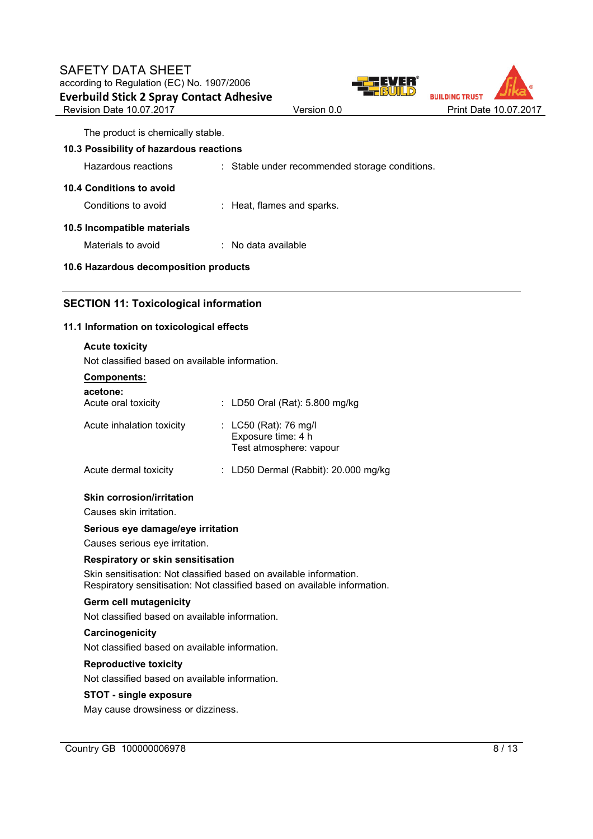



The product is chemically stable.

### **10.3 Possibility of hazardous reactions**

Hazardous reactions : Stable under recommended storage conditions.

### **10.4 Conditions to avoid**

Conditions to avoid : Heat, flames and sparks.

# **10.5 Incompatible materials**

Materials to avoid : No data available

### **10.6 Hazardous decomposition products**

### **SECTION 11: Toxicological information**

### **11.1 Information on toxicological effects**

| <b>Acute toxicity</b><br>Not classified based on available information.                                                                         |  |                                                                        |  |  |
|-------------------------------------------------------------------------------------------------------------------------------------------------|--|------------------------------------------------------------------------|--|--|
| <u>Components:</u>                                                                                                                              |  |                                                                        |  |  |
| acetone:                                                                                                                                        |  |                                                                        |  |  |
| Acute oral toxicity                                                                                                                             |  | : LD50 Oral (Rat): 5.800 mg/kg                                         |  |  |
| Acute inhalation toxicity                                                                                                                       |  | : LC50 (Rat): 76 mg/l<br>Exposure time: 4 h<br>Test atmosphere: vapour |  |  |
| Acute dermal toxicity                                                                                                                           |  | : LD50 Dermal (Rabbit): 20.000 mg/kg                                   |  |  |
| Skin corrosion/irritation<br>Causes skin irritation.                                                                                            |  |                                                                        |  |  |
| Serious eye damage/eye irritation<br>Causes serious eye irritation.                                                                             |  |                                                                        |  |  |
| <b>Respiratory or skin sensitisation</b>                                                                                                        |  |                                                                        |  |  |
| Skin sensitisation: Not classified based on available information.<br>Respiratory sensitisation: Not classified based on available information. |  |                                                                        |  |  |
| Germ cell mutagenicity                                                                                                                          |  |                                                                        |  |  |
| Not classified based on available information.                                                                                                  |  |                                                                        |  |  |
| Carcinogenicity                                                                                                                                 |  |                                                                        |  |  |
| Not classified based on available information.                                                                                                  |  |                                                                        |  |  |
| <b>Reproductive toxicity</b>                                                                                                                    |  |                                                                        |  |  |
| Not classified based on available information.                                                                                                  |  |                                                                        |  |  |
| <b>STOT - single exposure</b>                                                                                                                   |  |                                                                        |  |  |

May cause drowsiness or dizziness.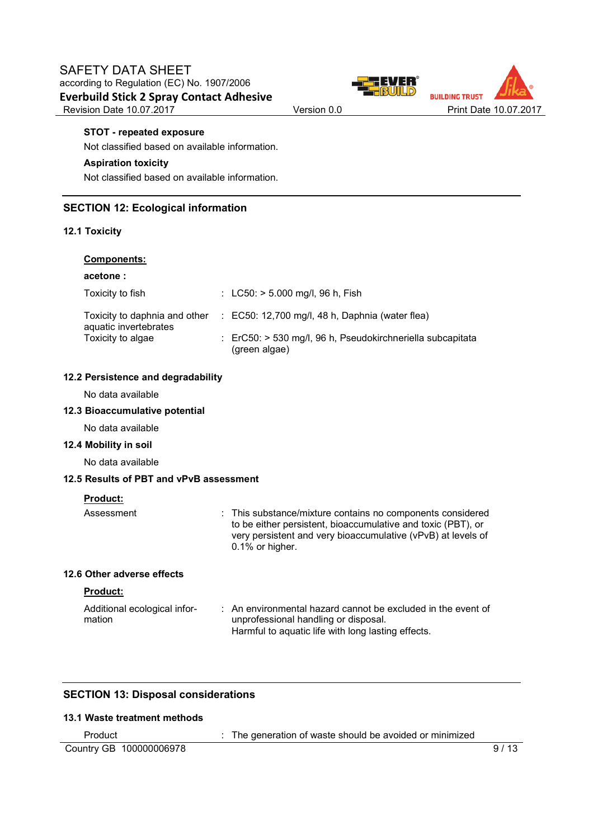



#### **STOT - repeated exposure**

Not classified based on available information.

### **Aspiration toxicity**

Not classified based on available information.

### **SECTION 12: Ecological information**

#### **12.1 Toxicity**

### **Components:**

#### **acetone :**

| Toxicity to fish      | : $LC50:$ > 5.000 mg/l, 96 h, Fish                                                     |
|-----------------------|----------------------------------------------------------------------------------------|
| aquatic invertebrates | Toxicity to daphnia and other : EC50: 12,700 mg/l, 48 h, Daphnia (water flea)          |
| Toxicity to algae     | $\therefore$ ErC50: > 530 mg/l, 96 h, Pseudokirchneriella subcapitata<br>(green algae) |

#### **12.2 Persistence and degradability**

No data available

### **12.3 Bioaccumulative potential**

No data available

#### **12.4 Mobility in soil**

No data available

#### **12.5 Results of PBT and vPvB assessment**

#### **Product:**

| Assessment | : This substance/mixture contains no components considered<br>to be either persistent, bioaccumulative and toxic (PBT), or<br>very persistent and very bioaccumulative (vPvB) at levels of<br>0.1% or higher. |
|------------|---------------------------------------------------------------------------------------------------------------------------------------------------------------------------------------------------------------|
|            |                                                                                                                                                                                                               |

### **12.6 Other adverse effects**

#### **Product:**

| Additional ecological infor-<br>mation | : An environmental hazard cannot be excluded in the event of<br>unprofessional handling or disposal. |
|----------------------------------------|------------------------------------------------------------------------------------------------------|
|                                        | Harmful to aquatic life with long lasting effects.                                                   |

## **SECTION 13: Disposal considerations**

# **13.1 Waste treatment methods**

| Product                 | The generation of waste should be avoided or minimized |      |
|-------------------------|--------------------------------------------------------|------|
| Country GB 100000006978 |                                                        | 9/13 |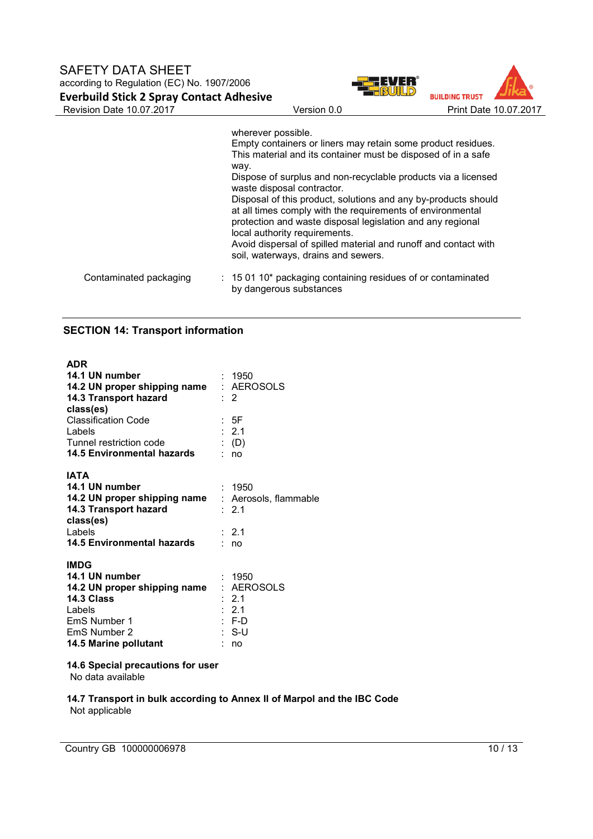



|                        | wherever possible.<br>Empty containers or liners may retain some product residues.<br>This material and its container must be disposed of in a safe<br>way.<br>Dispose of surplus and non-recyclable products via a licensed<br>waste disposal contractor.<br>Disposal of this product, solutions and any by-products should<br>at all times comply with the requirements of environmental<br>protection and waste disposal legislation and any regional<br>local authority requirements.<br>Avoid dispersal of spilled material and runoff and contact with<br>soil, waterways, drains and sewers. |
|------------------------|-----------------------------------------------------------------------------------------------------------------------------------------------------------------------------------------------------------------------------------------------------------------------------------------------------------------------------------------------------------------------------------------------------------------------------------------------------------------------------------------------------------------------------------------------------------------------------------------------------|
| Contaminated packaging | $\therefore$ 15 01 10* packaging containing residues of or contaminated<br>by dangerous substances                                                                                                                                                                                                                                                                                                                                                                                                                                                                                                  |

## **SECTION 14: Transport information**

| <b>ADR</b><br>14.1 UN number<br>14.2 UN proper shipping name<br>14.3 Transport hazard<br>class(es)<br>Classification Code<br>Labels<br>Tunnel restriction code<br>14.5 Environmental hazards | : 1950<br>: AEROSOLS<br>$\therefore$ 2<br>: 5F<br>: 2.1<br>$\colon$ (D)<br>: no |
|----------------------------------------------------------------------------------------------------------------------------------------------------------------------------------------------|---------------------------------------------------------------------------------|
| <b>IATA</b><br>14.1 UN number<br>14.2 UN proper shipping name : Aerosols, flammable<br>14.3 Transport hazard<br>class(es)<br>Labels<br><b>14.5 Environmental hazards</b>                     | : 1950<br>: $2.1$<br>$\cdot$ 21<br>: no                                         |
| <b>IMDG</b><br>14.1 UN number<br>14.2 UN proper shipping name<br>14.3 Class<br>Labels<br>EmS Number 1<br>EmS Number 2<br>14.5 Marine pollutant                                               | : 1950<br>: AEROSOLS<br>: 2.1<br>: 2.1<br>: F-D<br>: S-U<br>no                  |

# **14.6 Special precautions for user**

No data available

#### **14.7 Transport in bulk according to Annex II of Marpol and the IBC Code** Not applicable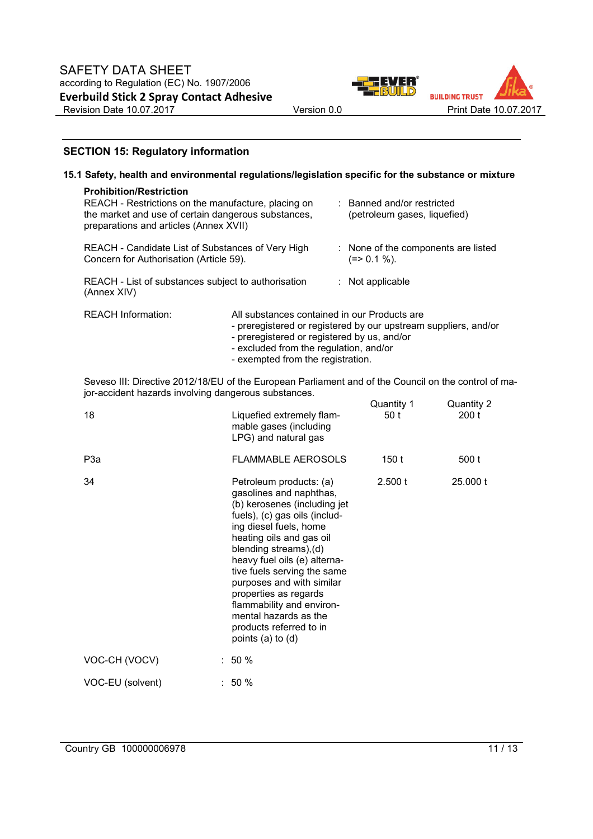



### **SECTION 15: Regulatory information**

| 15.1 Safety, health and environmental regulations/legislation specific for the substance or mixture                                                                                    |                                                                                                                                                                                                                                                                                                                                                       |  |                                                            |                     |
|----------------------------------------------------------------------------------------------------------------------------------------------------------------------------------------|-------------------------------------------------------------------------------------------------------------------------------------------------------------------------------------------------------------------------------------------------------------------------------------------------------------------------------------------------------|--|------------------------------------------------------------|---------------------|
| <b>Prohibition/Restriction</b><br>REACH - Restrictions on the manufacture, placing on<br>the market and use of certain dangerous substances,<br>preparations and articles (Annex XVII) |                                                                                                                                                                                                                                                                                                                                                       |  | : Banned and/or restricted<br>(petroleum gases, liquefied) |                     |
| REACH - Candidate List of Substances of Very High<br>Concern for Authorisation (Article 59).                                                                                           |                                                                                                                                                                                                                                                                                                                                                       |  | : None of the components are listed<br>$(=>0.1\%).$        |                     |
| REACH - List of substances subject to authorisation<br>(Annex XIV)                                                                                                                     |                                                                                                                                                                                                                                                                                                                                                       |  | : Not applicable                                           |                     |
| <b>REACH Information:</b>                                                                                                                                                              | All substances contained in our Products are<br>- preregistered or registered by our upstream suppliers, and/or<br>- preregistered or registered by us, and/or<br>- excluded from the regulation, and/or<br>- exempted from the registration.                                                                                                         |  |                                                            |                     |
| Seveso III: Directive 2012/18/EU of the European Parliament and of the Council on the control of ma-<br>jor-accident hazards involving dangerous substances.                           |                                                                                                                                                                                                                                                                                                                                                       |  |                                                            |                     |
| 18                                                                                                                                                                                     | Liquefied extremely flam-<br>mable gases (including<br>LPG) and natural gas                                                                                                                                                                                                                                                                           |  | Quantity 1<br>50t                                          | Quantity 2<br>200 t |
| P <sub>3a</sub>                                                                                                                                                                        | <b>FLAMMABLE AEROSOLS</b>                                                                                                                                                                                                                                                                                                                             |  | 150t                                                       | 500 t               |
| 34                                                                                                                                                                                     | Petroleum products: (a)<br>gasolines and naphthas,<br>(b) kerosenes (including jet<br>fuels), (c) gas oils (includ-<br>ing diesel fuels, home<br>heating oils and gas oil<br>blending streams), (d)<br>heavy fuel oils (e) alterna-<br>tive fuels serving the same<br>purposes and with similar<br>properties as regards<br>flammability and environ- |  | 2.500 t                                                    | 25,000 t            |

mental hazards as the products referred to in points  $(a)$  to  $(d)$ 

VOC-CH (VOCV) : 50 %

VOC-EU (solvent) : 50 %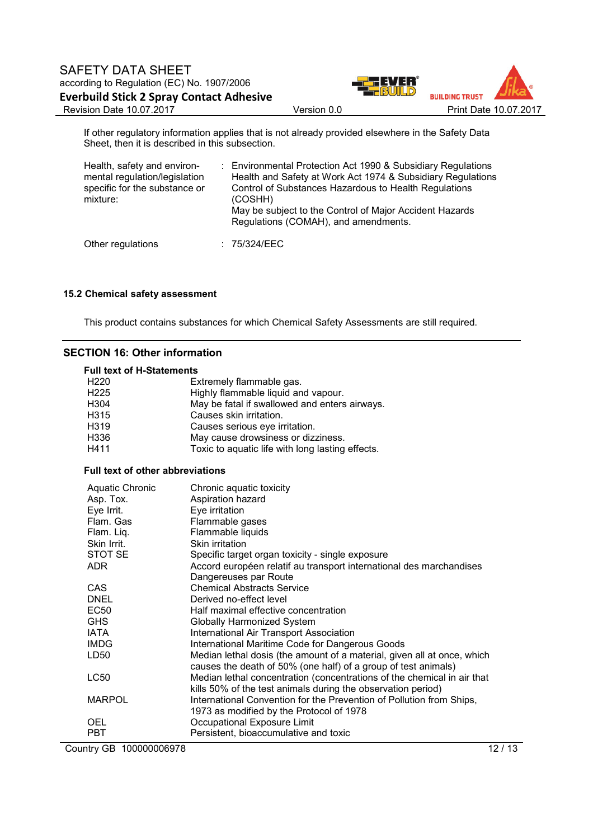

If other regulatory information applies that is not already provided elsewhere in the Safety Data Sheet, then it is described in this subsection.

| Health, safety and environ-<br>mental regulation/legislation<br>specific for the substance or<br>mixture: | : Environmental Protection Act 1990 & Subsidiary Regulations<br>Health and Safety at Work Act 1974 & Subsidiary Regulations<br>Control of Substances Hazardous to Health Regulations<br>(COSHH)<br>May be subject to the Control of Major Accident Hazards<br>Regulations (COMAH), and amendments. |
|-----------------------------------------------------------------------------------------------------------|----------------------------------------------------------------------------------------------------------------------------------------------------------------------------------------------------------------------------------------------------------------------------------------------------|
| Other regulations                                                                                         | : 75/324/EEC                                                                                                                                                                                                                                                                                       |

#### **15.2 Chemical safety assessment**

This product contains substances for which Chemical Safety Assessments are still required.

### **SECTION 16: Other information**

#### **Full text of H-Statements**

| H <sub>220</sub> | Extremely flammable gas.                         |
|------------------|--------------------------------------------------|
| H <sub>225</sub> | Highly flammable liquid and vapour.              |
| H304             | May be fatal if swallowed and enters airways.    |
| H315             | Causes skin irritation.                          |
| H319             | Causes serious eye irritation.                   |
| H336             | May cause drowsiness or dizziness.               |
| H411             | Toxic to aquatic life with long lasting effects. |

### **Full text of other abbreviations**

| <b>Aquatic Chronic</b>  | Chronic aquatic toxicity                                                |       |
|-------------------------|-------------------------------------------------------------------------|-------|
| Asp. Tox.               | Aspiration hazard                                                       |       |
| Eye Irrit.              | Eye irritation                                                          |       |
| Flam, Gas               | Flammable gases                                                         |       |
| Flam. Liq.              | Flammable liquids                                                       |       |
| Skin Irrit.             | Skin irritation                                                         |       |
| STOT SE                 | Specific target organ toxicity - single exposure                        |       |
| ADR.                    | Accord européen relatif au transport international des marchandises     |       |
|                         | Dangereuses par Route                                                   |       |
| CAS                     | <b>Chemical Abstracts Service</b>                                       |       |
| <b>DNEL</b>             | Derived no-effect level                                                 |       |
| EC50                    | Half maximal effective concentration                                    |       |
| <b>GHS</b>              | Globally Harmonized System                                              |       |
| <b>IATA</b>             | <b>International Air Transport Association</b>                          |       |
| <b>IMDG</b>             | International Maritime Code for Dangerous Goods                         |       |
| LD50                    | Median lethal dosis (the amount of a material, given all at once, which |       |
|                         | causes the death of 50% (one half) of a group of test animals)          |       |
| <b>LC50</b>             | Median lethal concentration (concentrations of the chemical in air that |       |
|                         | kills 50% of the test animals during the observation period)            |       |
| <b>MARPOL</b>           | International Convention for the Prevention of Pollution from Ships,    |       |
|                         | 1973 as modified by the Protocol of 1978                                |       |
| <b>OEL</b>              | Occupational Exposure Limit                                             |       |
| <b>PBT</b>              | Persistent, bioaccumulative and toxic                                   |       |
| Country GB 100000006978 |                                                                         | 12/13 |